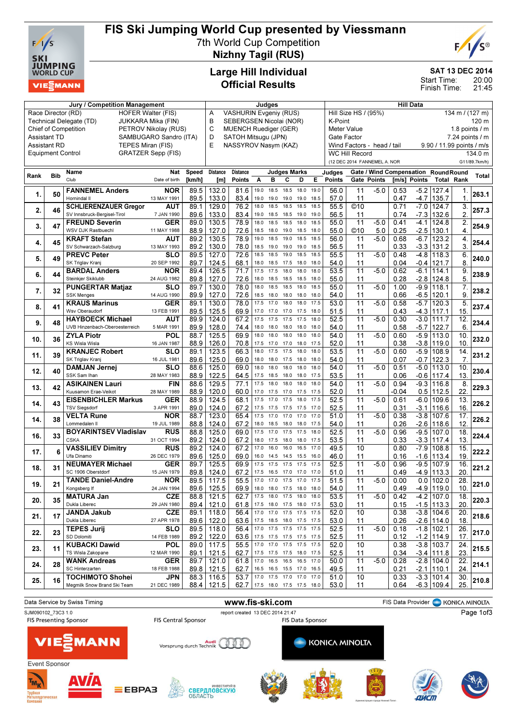

# FIS Ski Jumping World Cup presented by Viessmann

7th World Cup Competition



Nizhny Tagil (RUS)

### Large Hill Individual Official Results

SAT 13 DEC 2014

20:00 21:45 Start Time: Finish Time:

| <b>Jury / Competition Management</b>   |                                                 |                                                    |                           |              | Judges                            |                                    |              |              |                               | <b>Hill Data</b> |                                    |                                         |             |              |                  |                                      |                   |               |
|----------------------------------------|-------------------------------------------------|----------------------------------------------------|---------------------------|--------------|-----------------------------------|------------------------------------|--------------|--------------|-------------------------------|------------------|------------------------------------|-----------------------------------------|-------------|--------------|------------------|--------------------------------------|-------------------|---------------|
|                                        | Race Director (RD)<br><b>HOFER Walter (FIS)</b> |                                                    |                           |              |                                   | <b>VASHURIN Evgeniy (RUS)</b><br>A |              |              |                               |                  |                                    | Hill Size HS / (95%)<br>134 m / (127 m) |             |              |                  |                                      |                   |               |
|                                        | Technical Delegate (TD)<br>JUKKARA Mika (FIN)   |                                                    |                           |              |                                   | B<br>SEBERGSEN Nicolai (NOR)       |              |              |                               |                  | K-Point<br>120 m                   |                                         |             |              |                  |                                      |                   |               |
|                                        |                                                 | <b>Chief of Competition</b>                        | PETROV Nikolay (RUS)      |              | C<br><b>MUENCH Ruediger (GER)</b> |                                    |              |              |                               |                  | 1.8 points / m<br>Meter Value      |                                         |             |              |                  |                                      |                   |               |
| Assistant TD<br>SAMBUGARO Sandro (ITA) |                                                 |                                                    |                           |              | D<br>SATOH Mitsugu (JPN)          |                                    |              |              |                               |                  | $7.24$ points $/ m$<br>Gate Factor |                                         |             |              |                  |                                      |                   |               |
|                                        | <b>Assistant RD</b>                             | TEPES Miran (FIS)                                  |                           |              | E                                 | NASSYROV Nasym (KAZ)               |              |              |                               |                  |                                    | Wind Factors - head / tail              |             |              |                  | 9.90 / 11.99 points / m/s            |                   |               |
|                                        | <b>Equipment Control</b>                        |                                                    | <b>GRATZER Sepp (FIS)</b> |              |                                   |                                    |              |              |                               |                  |                                    | <b>WC Hill Record</b>                   |             |              |                  |                                      |                   | 134.0 m       |
|                                        |                                                 |                                                    |                           |              |                                   |                                    |              |              |                               |                  |                                    | (12 DEC 2014 FANNEMEL A. NOR            |             |              |                  |                                      |                   | G11/89.7km/h) |
|                                        |                                                 | Name                                               | <b>Nat</b>                | Speed        | <b>Distance</b>                   | <b>Distance</b>                    |              |              | <b>Judges Marks</b>           |                  | Judges                             |                                         |             |              |                  | Gate / Wind Compensation Round Round |                   |               |
| Rank                                   | <b>Bib</b>                                      | Club                                               | Date of birth             | [km/h]       | [m]                               | <b>Points</b>                      | Α            | в            | С<br>D                        | Е                | <b>Points</b>                      |                                         | Gate Points | [m/s] Points |                  | <b>Total Rank</b>                    |                   | Total         |
|                                        |                                                 | <b>FANNEMEL Anders</b>                             | <b>NOR</b>                | 89.5         | 132.0                             | 81.6                               | 19.0         | 18.5         | 18.5<br>18.0                  | 19.0             | 56.0                               | 11                                      | $-5.0$      | 0.53         | $-5.2$           | 127.4                                | 1.                |               |
| 1.                                     | 50                                              | Hornindal II                                       | 13 MAY 1991               | 89.5         | 133.0                             | 83.4                               | 19.0         | 19.0         | 19.0<br>19.0                  | 18.5             | 57.0                               | 11                                      |             | 0.47         | -4.7             | 135.7                                | $\mathbf 1$       | 263.1         |
|                                        |                                                 | <b>SCHLIERENZAUER Gregor</b>                       | AUT                       | 89.1         | 129.0                             | 76.2                               | 18.0         | 18.5         | 18.5<br>18.5                  | 18.5             | 55.5                               | ©10                                     |             | 0.71         | $-7.0$           | 124.7                                | 3.                |               |
| 2.                                     | 46                                              | SV Innsbruck-Bergisel-Tirol                        | 7 JAN 1990                | 89.6         | 133.0                             | 83.4                               | 19.0         | 18.5         | 18.5<br>19.0                  | 19.0             | 56.5                               | 11                                      |             | 0.74         | -7.3             | 132.6                                | 2.                | 257.3         |
|                                        | 47                                              | <b>FREUND Severin</b>                              | <b>GER</b>                | 89.0         | 130.5                             | 78.9                               | 18.0         | 18.5         | 18.5<br>18.0                  | 18.5             | 55.0                               | 11                                      | $-5.0$      | 0.41         | $-4.1$           | 124.8                                | $\overline{2}$    |               |
| 3.                                     |                                                 | WSV DJK Rastbuechl                                 | 11 MAY 1988               | 88.9         | 127.0                             | 72.6                               | 18.5         | 18.0         | 19.0<br>18.5                  | 18.0             | 55.0                               | ©10                                     | 5.0         | 0.25         | $-2.5$           | 130.1                                | 4.                | 254.9         |
| 4.                                     | 45                                              | <b>KRAFT Stefan</b>                                | AUT                       | 89.2         | 130.5                             | 78.9                               | 19.0         | 18.5         | 19.0<br>18.5                  | 18.5             | 56.0                               | 11                                      | $-5.0$      | 0.68         | $-6.7$           | 123.2                                | 4.                | 254.4         |
|                                        |                                                 | SV Schwarzach-Salzburg                             | 13 MAY 1993               | 89.2         | 130.0                             | 78.0                               | 18.5         | 19.0         | 19.0<br>19.0                  | 18.5             | 56.5                               | 11                                      |             | 0.33         | $-3.3$           | 131.2                                | 3.                |               |
| 5.                                     | 49                                              | <b>PREVC Peter</b>                                 | <b>SLO</b>                | 89.5         | 127.0                             | 72.6                               | 18.5         | 18.5         | 19.0<br>18.5                  | 18.5             | 55.5                               | $\overline{11}$                         | $-5.0$      | 0.48         | $-4.8$           | 118.3                                | 6.                | 240.0         |
|                                        |                                                 | SK Triglav Kranj                                   | 20 SEP 1992               | 89.7         | 124.5                             | 68.1                               | 18.0         | 18.5         | 17.5<br>18.0                  | 18.0             | 54.0                               | 11                                      |             | 0.04         | $-0.4$           | 121.7                                | 8.                |               |
| 6.                                     | 44                                              | <b>BARDAL Anders</b>                               | <b>NOR</b>                | 89.4         | 126.5                             | 71.7                               | 17.5         | 17.5         | 18.0<br>18.0                  | 18.0             | 53.5                               | $\overline{11}$                         | $-5.0$      | 0.62         | $-6.1$           | 114.1                                | 9.                | 238.9         |
|                                        |                                                 | Steinkjer Skiklubb                                 | 24 AUG 1982               | 89.8         | 127.0                             | 72.6                               | 18.0         | 18.5         | 18.5<br>18.5                  | 18.0             | 55.0                               | 11                                      |             | 0.28         | $-2.8$           | 124.8                                | 5.                |               |
| 7.                                     | 32                                              | <b>PUNGERTAR Matjaz</b>                            | SLO                       | 89.7         | 130.0                             | 78.0                               | 18.0         | 18.5         | 18.5<br>18.0                  | 18.5             | 55.0                               | 11                                      | $-5.0$      | 1.00         | $-9.9$           | 118.1                                | 7.                | 238.2         |
|                                        |                                                 | <b>SSK Menges</b>                                  | 14 AUG 1990               | 89.9         | 127.0                             | 72.6                               | 18.5         | 18.0         | 18.0<br>18.0                  | 18.0             | 54.0                               | 11                                      |             | 0.66         | -6.5             | 120.1                                | 9.                |               |
| 8.                                     | 41                                              | <b>KRAUS Marinus</b>                               | <b>GER</b>                | 89.1         | 130.0                             | 78.0                               | 17.5         | 17.0         | 18.0<br>18.0                  | 17.5             | 53.0                               | $\overline{11}$                         | $-5.0$      | 0.58         | $-5.7$           | 120.3                                | 5.                | 237.4         |
|                                        |                                                 | Wsv Oberaudorf                                     | 13 FEB 1991               | 89.5         | 125.5                             | 69.9                               | 17.0         | 17.0         | 17.5<br>17.0                  | 18.0             | 51.5                               | 11                                      |             | 0.43         | $-4.3$           | 117.1                                | 15.               |               |
| 9.                                     | 48                                              | <b>HAYBOECK Michael</b>                            | AUT                       | 89.9         | 124.0                             | 67.2                               | 17.5         | 17.5         | 17.5<br>17.5                  | 18.0             | 52.5                               | $\overline{11}$                         | $-5.0$      | 0.30         | $-3.0$           | 111.7                                | $\overline{12}$ . | 234.4         |
|                                        |                                                 | UVB Hinzenbach-Oberoesterreich                     | 5 MAR 1991                | 89.9         | 128.0                             | 74.4                               | 18.0         | 18.0         | 18.0<br>18.0                  | 18.0             | 54.0                               | 11                                      |             | 0.58         | $-5.7$           | 122.7                                | 6.                |               |
| 10.                                    | 36                                              | <b>ZYLA Piotr</b>                                  | POL                       | 88.7         | 125.5                             | 69.9                               | 18.0         | 18.0         | 18.0<br>18.0                  | 18.0             | 54.0                               | $\overline{11}$                         | $-5.0$      | 0.60         | $-5.9$           | 113.0                                | 10.               | 232.0         |
|                                        |                                                 | <b>KS Wisla Wisla</b>                              | 16 JAN 1987               | 88.9         | 126.0                             | 70.8                               | 17.5         | 17.0         | 17.0<br>18.0                  | 17.5             | 52.0                               | 11                                      |             | 0.38         | $-3.8$           | 119.0                                | 10.               |               |
| 11.                                    | 39                                              | <b>KRANJEC Robert</b>                              | SLO                       | 89.1         | 123.5                             | 66.3                               | 18.0         | 17.5         | 17.5<br>18.0                  | 18.0             | 53.5                               | 11                                      | $-5.0$      | 0.60         | $-5.9$           | 108.9                                | 14.               | 231.2         |
|                                        |                                                 | SK Triglav Kranj                                   | 16 JUL 1981               | 89.6         | 125.0                             | 69.0                               | 18.0         | 18.0         | 17.5<br>18.0                  | 18.0             | 54.0                               | 11                                      |             | 0.07         | $-0.7$           | 122.3                                | 7.                |               |
| 12.                                    | 40                                              | <b>DAMJAN Jernej</b>                               | SLO                       | 88.6         | 125.0                             | 69.0                               | 18.0         | 18.0         | 18.0<br>18.0                  | 18.0             | 54.0                               | 11                                      | $-5.0$      | 0.51         | $-5.0$           | 113.0                                | 10.               | 230.4         |
|                                        |                                                 | SSK Sam Ihan                                       | 28 MAY 1983               | 88.9         | 122.5                             | 64.5                               | 17.5         | 18.5         | 18.0<br>18.0                  | 17.5             | 53.5                               | 11                                      |             | 0.06         | $-0.6$           | 117.4                                | 13.               |               |
| 13.                                    | 42                                              | <b>ASIKAINEN Lauri</b>                             | <b>FIN</b>                | 88.6         | 129.5                             | 77.1                               | 17.5         | 18.0         | 18.0<br>18.0                  | 18.0             | 54.0                               | 11                                      | $-5.0$      | 0.94         | $-9.3$           | 116.8                                | 8.                | 229.3         |
|                                        |                                                 | Kuusamon Erae-Veikot                               | 28 MAY 1989               | 88.9         | 120.0                             | 60.0                               | 17.0         | 17.5         | 17.0<br>17.5                  | 17.5             | 52.0                               | 11                                      |             | -0.04        | 0.5              | 112.5                                | 22.               |               |
| 14.                                    | 43                                              | <b>EISENBICHLER Markus</b><br><b>TSV Siegsdorf</b> | <b>GER</b><br>3 APR 1991  | 88.9<br>89.0 | 124.5<br>124.0                    | 68.1<br>67.2                       | 17.5<br>17.5 | 17.0<br>17.5 | 17.5<br>18.0<br>17.5<br>17.5  | 17.5<br>17.0     | 52.5<br>52.5                       | 11<br>11                                | $-5.0$      | 0.61<br>0.31 | $-6.0$<br>$-3.1$ | 109.6<br>116.6                       | 13.<br>16.        | 226.2         |
|                                        |                                                 | <b>VELTA Rune</b>                                  | <b>NOR</b>                | 88.7         | 123.0                             | 65.4                               | 17.5         | 17.0         | 17.0<br>17.0                  | 17.0             | 51.0                               | 11                                      | $-5.0$      | 0.38         | $-3.8$           | 107.6                                | 17.               |               |
| 14.                                    | 38                                              | Lommedalen II                                      | 19 JUL 1989               | 88.8         | 124.0                             | 67.2                               | 18.0         | 18.5         | 18.0<br>18.0                  | 17.5             | 54.0                               | 11                                      |             | 0.26         | $-2.6$           | 118.6                                | 12.               | 226.2         |
|                                        |                                                 | <b>BOYARINTSEV Vladislav</b>                       | <b>RUS</b>                | 88.8         | 125.0                             | 69.0                               | 17.5         | 17.0         | 17.5<br>17.5                  | 18.0             | 52.5                               | $\overline{11}$                         | $-5.0$      | 0.96         | $-9.5$           | 107.0                                | $\overline{18}$   |               |
| 16.                                    | 33                                              | <b>CSKA</b>                                        | 31 OCT 1994               | 89.2         | 124.0                             | 67.2                               | 18.0         | 17.5         | 18.0<br>18.0                  | 17.5             | 53.5                               | 11                                      |             | 0.33         | $-3.3$           | 117.4                                | 13.               | 224.4         |
|                                        |                                                 | <b>VASSILIEV Dimitry</b>                           | <b>RUS</b>                | 89.2         | 124.0                             | 67.2                               | 17.0         | 16.0         | 16.0<br>16.5                  | 17.0             | 49.5                               | 10                                      |             | 0.80         | $-7.9$           | 108.8                                | 15.               |               |
| 17.                                    | 6                                               | Ufa Dinamo                                         | 26 DEC 1979               | 89.6         | 125.0                             | 69.0                               | 16.0         | 14.5         | 15.5<br>14.5                  | 16.0             | 46.0                               | 11                                      |             | 0.16         | $-1.6$           | 113.4                                | 19.               | 222.2         |
|                                        |                                                 | <b>NEUMAYER Michael</b>                            | <b>GER</b>                | 89.7         | 125.5                             | 69.9                               | 17.5         | 17.5         | 17.5<br>17.5                  | 17.5             | 52.5                               | $\overline{11}$                         | $-5.0$      | 0.96         | $-9.5$           | 107.9                                | 16.               |               |
| 18.                                    | 31                                              | SC 1906 Oberstdorf                                 | 15 JAN 1979               | 89.8         | 124.0                             | 67.2                               | 17.5         | 16.5         | 17.0<br>17.0                  | 17.0             | 51.0                               | 11                                      |             | 0.49         | -4.9             | 113.3                                | 20.               | 221.2         |
|                                        |                                                 | <b>TANDE Daniel-Andre</b>                          | <b>NOR</b>                | 89.5         | 117.5                             | 55.5                               | 17.0         | 17.0         | 17.5<br>17.0                  | 17.5             | 51.5                               | 11                                      | $-5.0$      | 0.00         | 0.0              | 102.0                                | $\overline{28}$ . |               |
| 19.                                    | 21                                              | Kongsberg If                                       | 24 JAN 1994               |              | 89.6   125.5                      | 69.9                               |              |              | 18.0 18.0 17.5 18.0 18.0      |                  | 54.0                               | 11                                      |             | 0.49         |                  | $-4.9$   119.0                       | 10.               | 221.0         |
|                                        |                                                 | <b>MATURA Jan</b>                                  | <b>CZE</b>                | 88.8         | 121.5                             | 62.7                               | 17.5         | 18.0         | 17.5<br>18.0                  | 18.0             | 53.5                               | 11                                      | $-5.0$      | 0.42         |                  | $-4.2$ 107.0                         | 18.               |               |
| 20.                                    | 35                                              | Dukla Liberec                                      | 29 JAN 1980               | 89.4         | 121.0                             | 61.8                               |              |              | 17.5 18.0 17.5 18.0 17.5      |                  | 53.0                               | 11                                      |             | 0.15         |                  | $-1.5$ 113.3                         | 20.               | 220.3         |
|                                        | 17                                              | <b>JANDA Jakub</b>                                 | <b>CZE</b>                | 89.1         | 118.0                             | 56.4                               | 17.0         |              | 17.0 17.5 17.5 17.5           |                  | 52.0                               | 10                                      |             | 0.38         |                  | $-3.8$ 104.6                         | 20.               | 218.6         |
| 21.                                    |                                                 | Dukla Liberec                                      | 27 APR 1978               | 89.6         | 122.0                             | 63.6                               |              |              | 17.5 18.5 18.0 17.5 17.5      |                  | 53.0                               | 11                                      |             | 0.26         |                  | $-2.6$ 114.0                         | 18.               |               |
| 22.                                    | 23                                              | <b>TEPES Jurii</b>                                 | SLO                       | 89.5         | 118.0                             |                                    |              |              | 56.4 17.0 17.5 17.5 17.5 17.5 |                  | 52.5                               | 11                                      | $-5.0$      | 0.18         |                  | $-1.8$   102.1                       | 26.               | 217.0         |
|                                        |                                                 | SD Dolomiti                                        | 14 FEB 1989               | 89.2         | 122.0                             |                                    |              |              | 63.6 17.5 17.5 17.5 17.5 17.5 |                  | 52.5                               | 11                                      |             | 0.12         |                  | $-1.2$ 114.9                         | 17.               |               |
| 23.                                    | 11                                              | <b>KUBACKI Dawid</b>                               | <b>POL</b>                | 89.0         | 117.5                             | 55.5                               | 17.0         | 17.0         | 17.5 17.5 17.5                |                  | 52.0                               | 10                                      |             | 0.38         |                  | $-3.8$ 103.7                         | 24.               | 215.5         |
|                                        |                                                 | TS Wisla Zakopane                                  | 12 MAR 1990               | 89.1         | 121.5                             | 62.7                               |              |              | 17.5 17.5 17.5 18.0 17.5      |                  | 52.5                               | 11                                      |             | 0.34         |                  | $-3.4$ 111.8                         | 23.               |               |
| 24.                                    | 28                                              | <b>WANK Andreas</b>                                | <b>GER</b>                | 89.7         | 121.0                             | 61.8                               | 17.0         |              | 16.5 16.5 16.5 17.0           |                  | 50.0                               | 11                                      | $-5.0$      | 0.28         |                  | $-2.8$ 104.0                         | 22.               | 214.1         |
|                                        |                                                 | SC Hinterzarten                                    | 18 FEB 1988               | 89.8         | 121.5                             | 62.7                               |              |              | 16.5 16.5 15.5 17.0 16.5      |                  | 49.5                               | 11                                      |             | 0.21         |                  | $-2.1$   110.1                       | 24.               |               |
| 25.                                    | 16                                              | <b>TOCHIMOTO Shohei</b>                            | <b>JPN</b>                | 88.3         | 116.5                             | 53.7                               | 17.0         |              | 17.5 17.0 17.0 17.0           |                  | 51.0                               | 10                                      |             | 0.33         |                  | $-3.3$ 101.4                         | 30.               | 210.8         |
|                                        |                                                 | Megmilk Snow Brand Ski Team                        | 21 DEC 1989               | 88.4         | 121.5                             | 62.7                               |              |              | 17.5 18.0 17.5 17.5 18.0      |                  | 53.0                               | 11                                      |             | 0.64         |                  | $-6.3$ 109.4                         | 25.               |               |

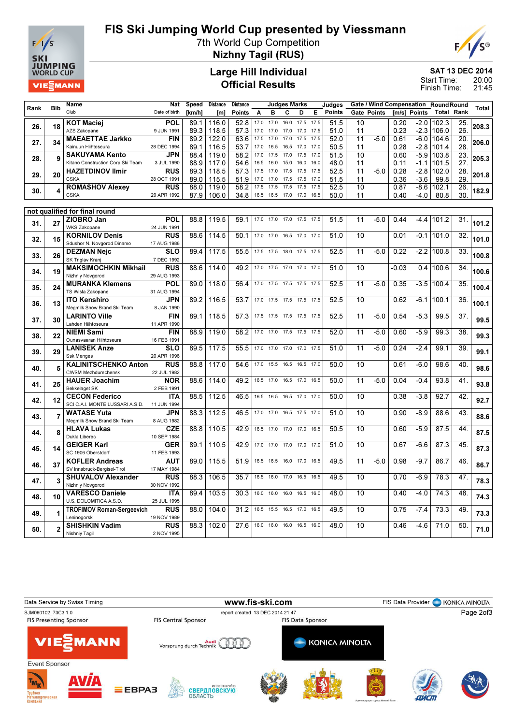

# FIS Ski Jumping World Cup presented by Viessmann

7th World Cup Competition



Nizhny Tagil (RUS)

#### Large Hill Individual Official Results

SAT 13 DEC 2014

20:00 21:45 Start Time: Finish Time:

|      | <b>Bib</b>     | <b>Name</b>                                                   | <b>Nat</b>                | <b>Speed</b> | <b>Distance</b> | Distance      |              |              | <b>Judges Marks</b> |                          |              | Judges        |                 | Gate / Wind Compensation RoundRound |              |                  |                   |                   | <b>Total</b> |
|------|----------------|---------------------------------------------------------------|---------------------------|--------------|-----------------|---------------|--------------|--------------|---------------------|--------------------------|--------------|---------------|-----------------|-------------------------------------|--------------|------------------|-------------------|-------------------|--------------|
| Rank |                | Club                                                          | Date of birth             | [km/h]       | [m]             | <b>Points</b> | Α            | в            | C                   | D                        | Е            | <b>Points</b> |                 | Gate Points                         |              | [m/s] Points     | <b>Total Rank</b> |                   |              |
| 26.  | 18             | <b>KOT Maciej</b>                                             | POL                       | 89.1         | 116.0           | 52.8          | 17.0         | 17.0         | 16.0                | 17.5                     | 17.5         | 51.5          | 10              |                                     | 0.20         |                  | $-2.0$ 102.3      | 25.               | 208.3        |
|      |                | AZS Zakopane                                                  | 9 JUN 1991                | 89.3         | 118.5           | 57.3          | 17.0         | 17.0         | 17.0                | 17.0                     | 17.5         | 51.0          | 11              |                                     | 0.23         |                  | $-2.3$ 106.0      | 26.               |              |
| 27.  | 34             | <b>MAEAETTAE Jarkko</b>                                       | <b>FIN</b>                | 89.2         | 122.0           | 63.6          | 17.5         | 17.0         | 17.0                | 17.5                     | 17.5         | 52.0          | 11              | $-5.0$                              | 0.61         |                  | $-6.0$ 104.6      | 20.               | 206.0        |
|      |                | Kainuun Hiihtoseura                                           | 28 DEC 1994               | 89.1         | 116.5           | 53.7          | 17.0         | 16.5         | 16.5                | 17.0                     | 17.0         | 50.5          | 11              |                                     | 0.28         |                  | $-2.8$ 101.4      | 28.               |              |
| 28.  | 9              | <b>SAKUYAMA Kento</b>                                         | <b>JPN</b>                | 88.4         | 119.0           | 58.2          | 17.0         | 17.5         | 17.0                | 17.5                     | 17.0         | 51.5          | $\overline{10}$ |                                     | 0.60         |                  | $-5.9$ 103.8      | 23.               | 205.3        |
|      |                | Kitano Construction Corp. Ski Team<br><b>HAZETDINOV Ilmir</b> | 3 JUL 1990<br><b>RUS</b>  | 88.9<br>89.3 | 117.0<br>118.5  | 54.6<br>57.3  | 16.5<br>17.5 | 16.0<br>17.0 | 15.0<br>17.5        | 16.0<br>17.5             | 16.0<br>17.5 | 48.0<br>52.5  | 11<br>11        | $-5.0$                              | 0.11<br>0.28 | $-1.1$<br>$-2.8$ | 101.5             | 27.<br>28.        |              |
| 29.  | 20             | <b>CSKA</b>                                                   | 28 OCT 1991               | 89.0         | 115.5           | 51.9          | 17.0         | 17.0         | 17.5                | 17.5                     | 17.0         | 51.5          | 11              |                                     | 0.36         | $-3.6$           | 102.0<br>99.8     | 29.               | 201.8        |
|      |                | <b>ROMASHOV Alexey</b>                                        | <b>RUS</b>                | 88.0         | 119.0           | 58.2          | 17.5         | 17.5         | 17.5                | 17.5                     | 17.5         | 52.5          | 10              |                                     | 0.87         |                  | $-8.6$ 102.1      | 26.               |              |
| 30.  | 4              | <b>CSKA</b>                                                   | 29 APR 1992               | 87.9         | 106.0           | 34.8          | 16.5         | 16.5         |                     | 17.0 17.0 16.5           |              | 50.0          | 11              |                                     | 0.40         | $-4.0$           | 80.8              | 30.               | 182.9        |
|      |                |                                                               |                           |              |                 |               |              |              |                     |                          |              |               |                 |                                     |              |                  |                   |                   |              |
|      |                | not qualified for final round                                 |                           |              |                 |               |              |              |                     |                          |              |               |                 |                                     |              |                  |                   |                   |              |
| 31.  | 27             | ZIOBRO Jan                                                    | POL                       | 88.8         | 119.5           | 59.1          |              |              |                     | 17.0 17.0 17.0 17.5 17.5 |              | 51.5          | 11              | $-5.0$                              | 0.44         |                  | -4.4 101.2        | 31.               | 101.2        |
|      |                | <b>WKS Zakopane</b>                                           | 24 JUN 1991               |              |                 |               |              |              |                     |                          |              |               |                 |                                     |              |                  |                   |                   |              |
| 32.  | 15             | <b>KORNILOV Denis</b>                                         | <b>RUS</b>                | 88.6         | 114.5           | 50.1          |              | 17.0 17.0    |                     | 16.5 17.0 17.0           |              | 51.0          | 10              |                                     | 0.01         | $-0.1$           | 101.0             | 32.               | 101.0        |
|      |                | Sdushor N. Novgorod Dinamo                                    | 17 AUG 1986               |              |                 |               |              |              |                     |                          |              |               |                 |                                     |              |                  |                   |                   |              |
| 33.  | 26             | <b>DEZMAN Nejc</b>                                            | <b>SLO</b>                | 89.4         | 117.5           | 55.5          | 17.5         | 17.5         |                     | 18.0 17.5                | 17.5         | 52.5          | 11              | $-5.0$                              | 0.22         |                  | -2.2 100.8        | 33.               | 100.8        |
|      |                | SK Triglav Kranj<br><b>MAKSIMOCHKIN Mikhail</b>               | 7 DEC 1992<br><b>RUS</b>  | 88.6         | 114.0           | 49.2          | 17.0         | 17.5         | 17.0                | 17.0                     | 17.0         | 51.0          | 10              |                                     | $-0.03$      | 0.4              | 100.6             | 34.               |              |
| 34.  | 19             | Nizhniy Novgorod                                              | 29 AUG 1993               |              |                 |               |              |              |                     |                          |              |               |                 |                                     |              |                  |                   |                   | 100.6        |
|      |                | <b>MURANKA Klemens</b>                                        | <b>POL</b>                | 89.0         | 118.0           | 56.4          |              |              |                     | 17.0 17.5 17.5 17.5 17.5 |              | 52.5          | 11              | $-5.0$                              | 0.35         | $-3.5$           | 100.4             | 35.               |              |
| 35.  | 24             | TS Wisla Zakopane                                             | 31 AUG 1994               |              |                 |               |              |              |                     |                          |              |               |                 |                                     |              |                  |                   |                   | 100.4        |
|      |                | <b>ITO Kenshiro</b>                                           | <b>JPN</b>                | 89.2         | 116.5           | 53.7          | 17.0         | 17.5         |                     | 17.5 17.5                | 17.5         | 52.5          | 10              |                                     | 0.62         | $-6.1$           | 100.1             | 36.               |              |
| 36.  | 13             | Megmilk Snow Brand Ski Team                                   | 8 JAN 1990                |              |                 |               |              |              |                     |                          |              |               |                 |                                     |              |                  |                   |                   | 100.1        |
| 37.  | 30             | <b>LARINTO Ville</b>                                          | <b>FIN</b>                | 89.1         | 118.5           | 57.3          | 17.5         | 17.5         |                     | 17.5 17.5                | 17.5         | 52.5          | 11              | $-5.0$                              | 0.54         | $-5.3$           | 99.5              | $\overline{37}$ . | 99.5         |
|      |                | Lahden Hiihtoseura                                            | 11 APR 1990               |              |                 |               |              |              |                     |                          |              |               |                 |                                     |              |                  |                   |                   |              |
| 38.  | 22             | <b>NIEMI Sami</b>                                             | <b>FIN</b>                | 88.9         | 119.0           | 58.2          | 17.0         | 17.0         | 17.5                | 17.5                     | 17.5         | 52.0          | 11              | $-5.0$                              | 0.60         | $-5.9$           | 99.3              | 38.               | 99.3         |
|      |                | Ounasvaaran Hiihtoseura                                       | 16 FEB 1991               |              |                 |               |              | 17.0 17.0    |                     | 17.0 17.0 17.5           |              |               |                 |                                     |              |                  |                   |                   |              |
| 39.  | 29             | <b>LANISEK Anze</b><br><b>Ssk Menges</b>                      | <b>SLO</b><br>20 APR 1996 | 89.5         | 117.5           | 55.5          |              |              |                     |                          |              | 51.0          | 11              | $-5.0$                              | 0.24         | $-2.4$           | 99.1              | 39.               | 99.1         |
|      |                | <b>KALINITSCHENKO Anton</b>                                   | <b>RUS</b>                | 88.8         | 117.0           | 54.6          | 17.0         | 15.5         |                     | 16.5 16.5                | 17.0         | 50.0          | 10              |                                     | 0.61         | $-6.0$           | 98.6              | 40.               |              |
| 40.  | 5              | <b>CWSM Mezhdurechensk</b>                                    | 22 JUL 1982               |              |                 |               |              |              |                     |                          |              |               |                 |                                     |              |                  |                   |                   | 98.6         |
|      |                | <b>HAUER Joachim</b>                                          | <b>NOR</b>                | 88.6         | 114.0           | 49.2          | 16.5         | 17.0         | 16.5                | 17.0                     | 16.5         | 50.0          | 11              | $-5.0$                              | 0.04         | $-0.4$           | 93.8              | 41.               |              |
| 41.  | 25             | <b>Bekkelaget SK</b>                                          | 2 FEB 1991                |              |                 |               |              |              |                     |                          |              |               |                 |                                     |              |                  |                   |                   | 93.8         |
| 42.  | 12             | <b>CECON Federico</b>                                         | <b>ITA</b>                | 88.5         | 112.5           | 46.5          | 16.5         | 16.5         |                     | 16.5 17.0 17.0           |              | 50.0          | 10              |                                     | 0.38         | $-3.8$           | 92.7              | 42.               | 92.7         |
|      |                | SCI C.A.I. MONTE LUSSARI A.S.D.                               | 11 JUN 1994               |              |                 |               |              |              |                     |                          |              |               |                 |                                     |              |                  |                   |                   |              |
| 43.  | $\overline{7}$ | <b>WATASE Yuta</b>                                            | <b>JPN</b>                | 88.3         | 112.5           | 46.5          | 17.0         | 17.0         | 16.5                | 17.5                     | 17.0         | 51.0          | 10              |                                     | 0.90         | $-8.9$           | 88.6              | 43.               | 88.6         |
|      |                | Megmilk Snow Brand Ski Team                                   | 8 AUG 1982                |              |                 |               |              |              |                     |                          |              |               |                 |                                     |              |                  |                   |                   |              |
| 44.  | 8              | <b>HLAVA Lukas</b><br>Dukla Liberec                           | <b>CZE</b>                | 88.8         | 110.5           | 42.9          | 16.5         | 17.0         | 17.0                | 17.0                     | 16.5         | 50.5          | 10              |                                     | 0.60         | $-5.9$           | 87.5              | 44.               | 87.5         |
|      |                | <b>GEIGER Karl</b>                                            | 10 SEP 1984<br><b>GER</b> | 89.1         | 110.5           | 42.9          | 17.0         | 17.0         |                     | 17.0 17.0                | 17.0         | 51.0          | 10              |                                     | 0.67         | $-6.6$           | 87.3              | 45.               |              |
| 45.  | 14             | SC 1906 Oberstdorf                                            | 11 FEB 1993               |              |                 |               |              |              |                     |                          |              |               |                 |                                     |              |                  |                   |                   | 87.3         |
|      |                | <b>KOFLER Andreas</b>                                         | <b>AUT</b>                | 89.0         | 115.5           | 51.9          | 16.5         | 16.5         |                     | 16.0 17.0                | 16.5         | 49.5          | 11              | $-5.0$                              | 0.98         | $-9.7$           | 86.7              | 46                |              |
| 46.  | 37             | SV Innsbruck-Bergisel-Tirol                                   | 17 MAY 1984               |              |                 |               |              |              |                     |                          |              |               |                 |                                     |              |                  |                   |                   | 86.7         |
| 47.  | 3              | <b>SHUVALOV Alexander</b>                                     | <b>RUS</b>                | 88.3         | 106.5           | 35.7          | 16.5         | 16.0         | 17.0                | 16.5                     | 16.5         | 49.5          | 10              |                                     | 0.70         | $-6.9$           | 78.3              | 47.               | 78.3         |
|      |                | Nizhniy Novgorod                                              | 30 NOV 1992               |              |                 |               |              |              |                     |                          |              |               |                 |                                     |              |                  |                   |                   |              |
| 48.  | 10             | <b>VARESCO Daniele</b>                                        | <b>ITA</b>                | 89.4         | 103.5           | 30.3          | 16.0         | 16.0         | 16.0                | 16.5                     | 16.0         | 48.0          | 10              |                                     | 0.40         | $-4.0$           | 74.3              | 48.               | 74.3         |
|      |                | U.S. DOLOMITICA A.S.D.                                        | 25 JUL 1995               |              |                 |               |              |              |                     |                          |              |               |                 |                                     |              |                  |                   |                   |              |
| 49.  | 1              | <b>TROFIMOV Roman-Sergeevich</b>                              | <b>RUS</b>                | 88.0         | 104.0           | 31.2          | 16.5         | 15.5         |                     | 16.5 17.0                | 16.5         | 49.5          | $\overline{10}$ |                                     | 0.75         | $-7.4$           | 73.3              | 49.               | 73.3         |
|      |                | Leninogorsk                                                   | 19 NOV 1989               |              |                 |               |              |              |                     |                          |              |               |                 |                                     |              |                  |                   |                   |              |
| 50.  | $\overline{2}$ | <b>SHISHKIN Vadim</b>                                         | <b>RUS</b>                | 88.3         | 102.0           | 27.6          | 16.0         | 16.0         | 16.0                | 16.5                     | 16.0         | 48.0          | 10              |                                     | 0.46         | $-4.6$           | 71.0              | 50.               | 71.0         |
|      |                | Nishniy Tagil                                                 | 2 NOV 1995                |              |                 |               |              |              |                     |                          |              |               |                 |                                     |              |                  |                   |                   |              |